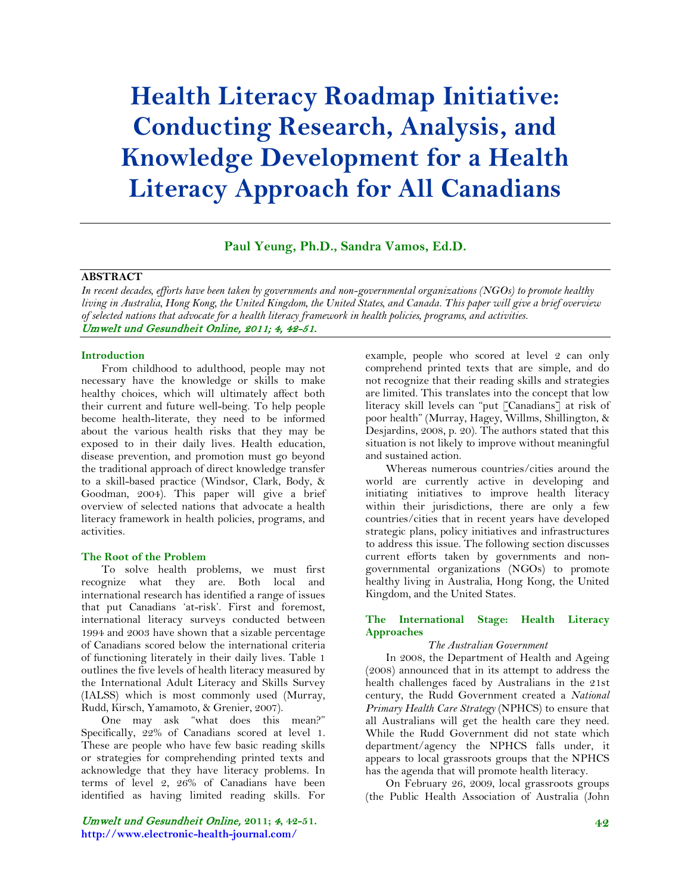# **Health Literacy Roadmap Initiative: Conducting Research, Analysis, and Knowledge Development for a Health Literacy Approach for All Canadians**

#### **Paul Yeung, Ph.D., Sandra Vamos, Ed.D.**

#### **ABSTRACT**

*In recent decades, efforts have been taken by governments and non-governmental organizations (NGOs) to promote healthy living in Australia, Hong Kong, the United Kingdom, the United States, and Canada. This paper will give a brief overview of selected nations that advocate for a health literacy framework in health policies, programs, and activities.* Umwelt und Gesundheit Online, 2011; 4, 42-51.

#### **Introduction**

From childhood to adulthood, people may not necessary have the knowledge or skills to make healthy choices, which will ultimately affect both their current and future well-being. To help people become health-literate, they need to be informed about the various health risks that they may be exposed to in their daily lives. Health education, disease prevention, and promotion must go beyond the traditional approach of direct knowledge transfer to a skill-based practice (Windsor, Clark, Body, & Goodman, 2004). This paper will give a brief overview of selected nations that advocate a health literacy framework in health policies, programs, and activities.

#### **The Root of the Problem**

To solve health problems, we must first recognize what they are. Both local and international research has identified a range of issues that put Canadians 'at-risk'. First and foremost, international literacy surveys conducted between 1994 and 2003 have shown that a sizable percentage of Canadians scored below the international criteria of functioning literately in their daily lives. Table 1 outlines the five levels of health literacy measured by the International Adult Literacy and Skills Survey (IALSS) which is most commonly used (Murray, Rudd, Kirsch, Yamamoto, & Grenier, 2007).

One may ask "what does this mean?" Specifically, 22% of Canadians scored at level 1. These are people who have few basic reading skills or strategies for comprehending printed texts and acknowledge that they have literacy problems. In terms of level 2, 26% of Canadians have been identified as having limited reading skills. For

Umwelt und Gesundheit Online, **2011;** 4**, 42-51. http://www.electronic-health-journal.com/**

example, people who scored at level 2 can only comprehend printed texts that are simple, and do not recognize that their reading skills and strategies are limited. This translates into the concept that low literacy skill levels can "put [Canadians] at risk of poor health" (Murray, Hagey, Willms, Shillington, & Desjardins, 2008, p. 20). The authors stated that this situation is not likely to improve without meaningful and sustained action.

Whereas numerous countries/cities around the world are currently active in developing and initiating initiatives to improve health literacy within their jurisdictions, there are only a few countries/cities that in recent years have developed strategic plans, policy initiatives and infrastructures to address this issue. The following section discusses current efforts taken by governments and nongovernmental organizations (NGOs) to promote healthy living in Australia, Hong Kong, the United Kingdom, and the United States.

#### **The International Stage: Health Literacy Approaches**

#### *The Australian Government*

In 2008, the Department of Health and Ageing (2008) announced that in its attempt to address the health challenges faced by Australians in the 21st century, the Rudd Government created a *National Primary Health Care Strategy* (NPHCS) to ensure that all Australians will get the health care they need. While the Rudd Government did not state which department/agency the NPHCS falls under, it appears to local grassroots groups that the NPHCS has the agenda that will promote health literacy.

On February 26, 2009, local grassroots groups (the Public Health Association of Australia (John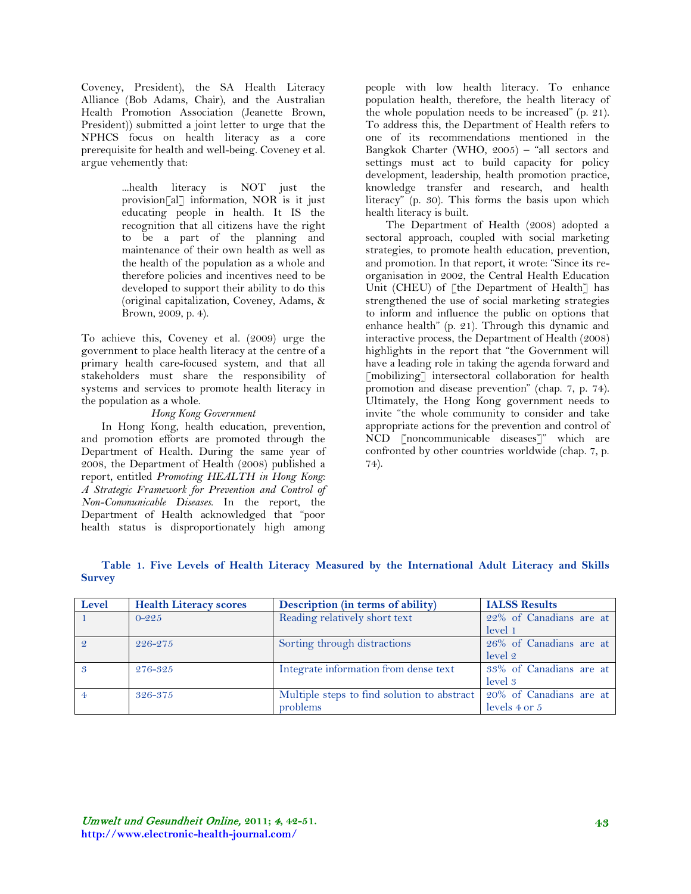Coveney, President), the SA Health Literacy Alliance (Bob Adams, Chair), and the Australian Health Promotion Association (Jeanette Brown, President)) submitted a joint letter to urge that the NPHCS focus on health literacy as a core prerequisite for health and well-being. Coveney et al. argue vehemently that:

> ...health literacy is NOT just the provision[al] information, NOR is it just educating people in health. It IS the recognition that all citizens have the right to be a part of the planning and maintenance of their own health as well as the health of the population as a whole and therefore policies and incentives need to be developed to support their ability to do this (original capitalization, Coveney, Adams, & Brown, 2009, p. 4).

To achieve this, Coveney et al. (2009) urge the government to place health literacy at the centre of a primary health care-focused system, and that all stakeholders must share the responsibility of systems and services to promote health literacy in the population as a whole.

## *Hong Kong Government*

In Hong Kong, health education, prevention, and promotion efforts are promoted through the Department of Health. During the same year of 2008, the Department of Health (2008) published a report, entitled *Promoting HEALTH in Hong Kong: A Strategic Framework for Prevention and Control of Non-Communicable Diseases*. In the report, the Department of Health acknowledged that "poor health status is disproportionately high among

people with low health literacy. To enhance population health, therefore, the health literacy of the whole population needs to be increased" (p. 21). To address this, the Department of Health refers to one of its recommendations mentioned in the Bangkok Charter (WHO, 2005) – "all sectors and settings must act to build capacity for policy development, leadership, health promotion practice, knowledge transfer and research, and health literacy" (p. 30). This forms the basis upon which health literacy is built.

The Department of Health (2008) adopted a sectoral approach, coupled with social marketing strategies, to promote health education, prevention, and promotion. In that report, it wrote: "Since its reorganisation in 2002, the Central Health Education Unit (CHEU) of [the Department of Health] has strengthened the use of social marketing strategies to inform and influence the public on options that enhance health" (p. 21). Through this dynamic and interactive process, the Department of Health (2008) highlights in the report that "the Government will have a leading role in taking the agenda forward and [mobilizing] intersectoral collaboration for health promotion and disease prevention" (chap. 7, p. 74). Ultimately, the Hong Kong government needs to invite "the whole community to consider and take appropriate actions for the prevention and control of NCD [noncommunicable diseases]" which are confronted by other countries worldwide (chap. 7, p. 74).

| Level             | <b>Health Literacy scores</b> | Description (in terms of ability)           | <b>IALSS Results</b>    |
|-------------------|-------------------------------|---------------------------------------------|-------------------------|
|                   | $0 - 225$                     | Reading relatively short text               | 22% of Canadians are at |
|                   |                               |                                             | level 1                 |
| $\mathcal{Q}$     | 226-275                       | Sorting through distractions                | 26% of Canadians are at |
|                   |                               |                                             | level 2                 |
| $\mathcal{S}_{1}$ | 276-325                       | Integrate information from dense text       | 33% of Canadians are at |
|                   |                               |                                             | level 3                 |
|                   | 326-375                       | Multiple steps to find solution to abstract | 20% of Canadians are at |
|                   |                               | problems                                    | levels 4 or 5           |

## **Table 1. Five Levels of Health Literacy Measured by the International Adult Literacy and Skills Survey**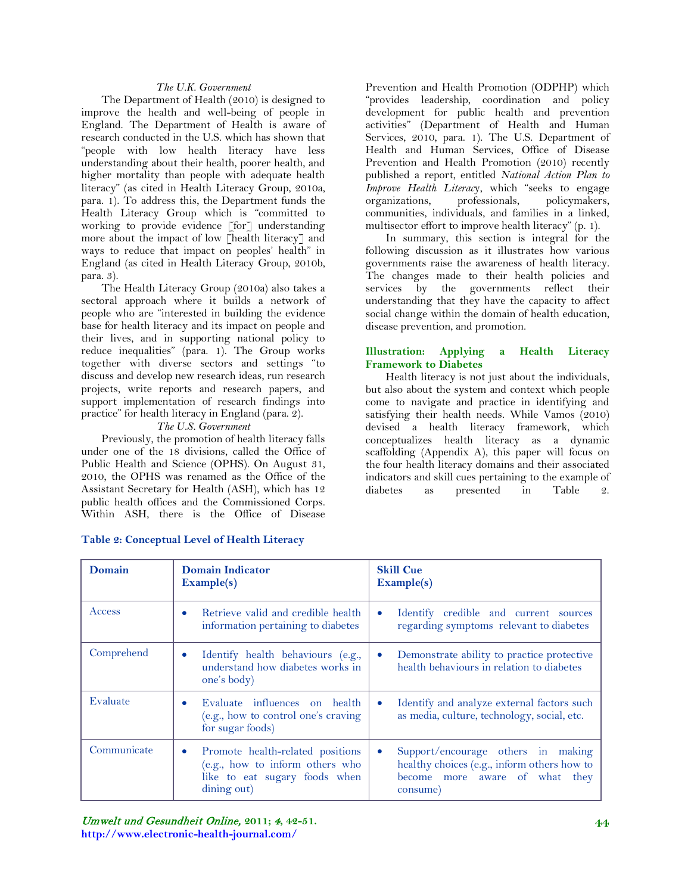#### *The U.K. Government*

The Department of Health (2010) is designed to improve the health and well-being of people in England. The Department of Health is aware of research conducted in the U.S. which has shown that "people with low health literacy have less understanding about their health, poorer health, and higher mortality than people with adequate health literacy" (as cited in Health Literacy Group, 2010a, para. 1). To address this, the Department funds the Health Literacy Group which is "committed to working to provide evidence [for] understanding more about the impact of low [health literacy] and ways to reduce that impact on peoples' health" in England (as cited in Health Literacy Group, 2010b, para. 3).

The Health Literacy Group (2010a) also takes a sectoral approach where it builds a network of people who are "interested in building the evidence base for health literacy and its impact on people and their lives, and in supporting national policy to reduce inequalities" (para. 1). The Group works together with diverse sectors and settings "to discuss and develop new research ideas, run research projects, write reports and research papers, and support implementation of research findings into practice" for health literacy in England (para. 2).

#### *The U.S. Government*

Previously, the promotion of health literacy falls under one of the 18 divisions, called the Office of Public Health and Science (OPHS). On August 31, 2010, the OPHS was renamed as the Office of the Assistant Secretary for Health (ASH), which has 12 public health offices and the Commissioned Corps. Within ASH, there is the Office of Disease

Prevention and Health Promotion (ODPHP) which "provides leadership, coordination and policy development for public health and prevention activities" (Department of Health and Human Services, 2010, para. 1). The U.S. Department of Health and Human Services, Office of Disease Prevention and Health Promotion (2010) recently published a report, entitled *National Action Plan to Improve Health Literac*y, which "seeks to engage organizations, professionals, policymakers, communities, individuals, and families in a linked, multisector effort to improve health literacy" (p. 1).

In summary, this section is integral for the following discussion as it illustrates how various governments raise the awareness of health literacy. The changes made to their health policies and services by the governments reflect their understanding that they have the capacity to affect social change within the domain of health education, disease prevention, and promotion.

#### **Illustration: Applying a Health Literacy Framework to Diabetes**

Health literacy is not just about the individuals, but also about the system and context which people come to navigate and practice in identifying and satisfying their health needs. While Vamos (2010) devised a health literacy framework, which conceptualizes health literacy as a dynamic scaffolding (Appendix A), this paper will focus on the four health literacy domains and their associated indicators and skill cues pertaining to the example of diabetes as presented in Table 2.

| Domain      | <b>Domain Indicator</b><br>Example(s)                                                                                            | <b>Skill Cue</b><br><b>Example(s)</b>                                                                                           |
|-------------|----------------------------------------------------------------------------------------------------------------------------------|---------------------------------------------------------------------------------------------------------------------------------|
| Access      | Retrieve valid and credible health<br>information pertaining to diabetes                                                         | Identify credible and current sources<br>$\bullet$<br>regarding symptoms relevant to diabetes                                   |
| Comprehend  | Identify health behaviours (e.g.,<br>understand how diabetes works in<br>one's body)                                             | Demonstrate ability to practice protective<br>$\bullet$<br>health behaviours in relation to diabetes                            |
| Evaluate    | Evaluate influences on health<br>$\bullet$<br>(e.g., how to control one's craving<br>for sugar foods)                            | Identify and analyze external factors such<br>$\bullet$<br>as media, culture, technology, social, etc.                          |
| Communicate | Promote health-related positions<br>$\bullet$<br>(e.g., how to inform others who<br>like to eat sugary foods when<br>dining out) | Support/encourage others in making<br>healthy choices (e.g., inform others how to<br>become more aware of what they<br>consume) |

## **Table 2: Conceptual Level of Health Literacy**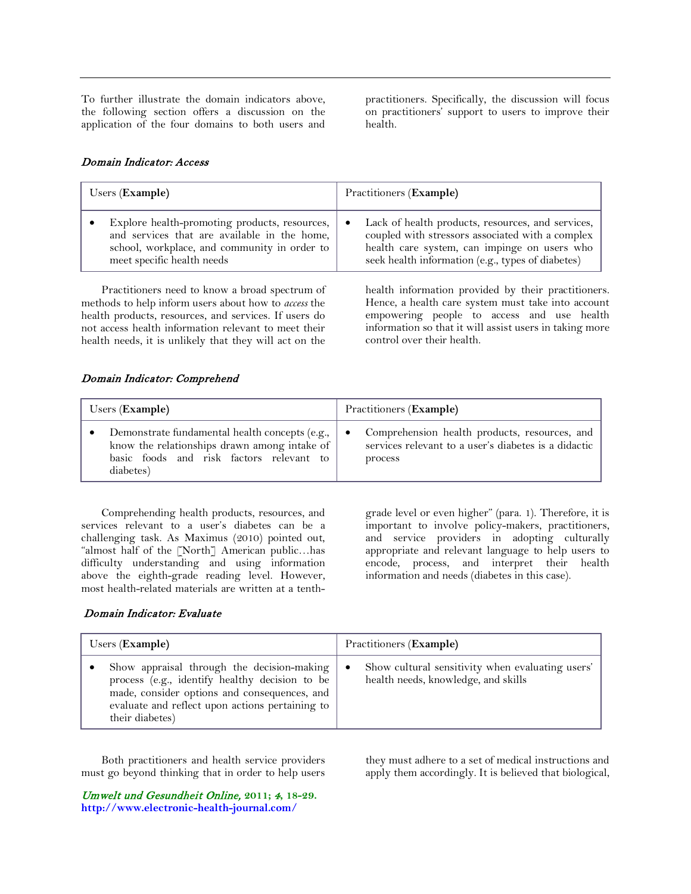To further illustrate the domain indicators above, the following section offers a discussion on the application of the four domains to both users and practitioners. Specifically, the discussion will focus on practitioners' support to users to improve their health.

## Domain Indicator: Access

| Users (Example)                                                                                                                                                             | Practitioners (Example)                                                                                                                                                                                         |
|-----------------------------------------------------------------------------------------------------------------------------------------------------------------------------|-----------------------------------------------------------------------------------------------------------------------------------------------------------------------------------------------------------------|
| Explore health-promoting products, resources,<br>and services that are available in the home,<br>school, workplace, and community in order to<br>meet specific health needs | Lack of health products, resources, and services,<br>٠<br>coupled with stressors associated with a complex<br>health care system, can impinge on users who<br>seek health information (e.g., types of diabetes) |
| Practitioners need to know a broad spectrum of                                                                                                                              | health information provided by their practitioners                                                                                                                                                              |

methods to help inform users about how to *access* the health products, resources, and services. If users do not access health information relevant to meet their health needs, it is unlikely that they will act on the health information provided by their practitioners. Hence, a health care system must take into account empowering people to access and use health information so that it will assist users in taking more control over their health.

## Domain Indicator: Comprehend

| Users (Example)                                | Practitioners (Example)                              |
|------------------------------------------------|------------------------------------------------------|
| Demonstrate fundamental health concepts (e.g., | Comprehension health products, resources, and        |
| know the relationships drawn among intake of   | ٠                                                    |
| basic foods and risk factors relevant to       | services relevant to a user's diabetes is a didactic |
| diabetes)                                      | process                                              |

Comprehending health products, resources, and services relevant to a user's diabetes can be a challenging task. As Maximus (2010) pointed out, "almost half of the [North] American public…has difficulty understanding and using information above the eighth-grade reading level. However, most health-related materials are written at a tenthgrade level or even higher" (para. 1). Therefore, it is important to involve policy-makers, practitioners, and service providers in adopting culturally appropriate and relevant language to help users to encode, process, and interpret their health information and needs (diabetes in this case).

# Domain Indicator: Evaluate

| Users $(Example)$                                                                                                                                                                                                  | Practitioners ( <b>Example</b> )                                                                     |
|--------------------------------------------------------------------------------------------------------------------------------------------------------------------------------------------------------------------|------------------------------------------------------------------------------------------------------|
| Show appraisal through the decision-making<br>process (e.g., identify healthy decision to be<br>made, consider options and consequences, and<br>evaluate and reflect upon actions pertaining to<br>their diabetes) | Show cultural sensitivity when evaluating users'<br>$\bullet$<br>health needs, knowledge, and skills |

Both practitioners and health service providers must go beyond thinking that in order to help users

Umwelt und Gesundheit Online, **2011;** 4**, 18-29. <http://www.electronic-health-journal.com/>**

they must adhere to a set of medical instructions and apply them accordingly. It is believed that biological,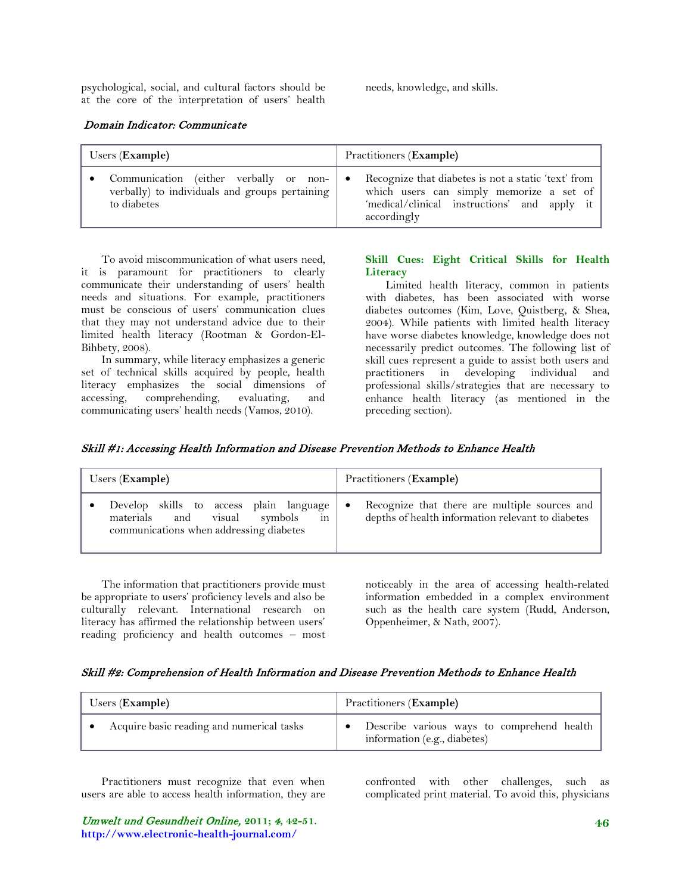psychological, social, and cultural factors should be at the core of the interpretation of users' health needs, knowledge, and skills.

### Domain Indicator: Communicate

| Users (Example)                                                                                         |           | Practitioners (Example)                                                                                                                                        |
|---------------------------------------------------------------------------------------------------------|-----------|----------------------------------------------------------------------------------------------------------------------------------------------------------------|
| Communication (either verbally or non-<br>verbally) to individuals and groups pertaining<br>to diabetes | $\bullet$ | Recognize that diabetes is not a static 'text' from<br>which users can simply memorize a set of<br>'medical/clinical instructions' and apply it<br>accordingly |

To avoid miscommunication of what users need, it is paramount for practitioners to clearly communicate their understanding of users' health needs and situations. For example, practitioners must be conscious of users' communication clues that they may not understand advice due to their limited health literacy (Rootman & Gordon-El-Bihbety, 2008).

In summary, while literacy emphasizes a generic set of technical skills acquired by people, health literacy emphasizes the social dimensions of accessing, comprehending, evaluating, and communicating users' health needs (Vamos, 2010).

## **Skill Cues: Eight Critical Skills for Health Literacy**

Limited health literacy, common in patients with diabetes, has been associated with worse diabetes outcomes (Kim, Love, Quistberg, & Shea, 2004). While patients with limited health literacy have worse diabetes knowledge, knowledge does not necessarily predict outcomes. The following list of skill cues represent a guide to assist both users and practitioners in developing individual and professional skills/strategies that are necessary to enhance health literacy (as mentioned in the preceding section).

| Skill #1: Accessing Health Information and Disease Prevention Methods to Enhance Health |  |
|-----------------------------------------------------------------------------------------|--|
|-----------------------------------------------------------------------------------------|--|

| Users (Example)                                                                                                             | Practitioners (Example)                                                                                 |
|-----------------------------------------------------------------------------------------------------------------------------|---------------------------------------------------------------------------------------------------------|
| Develop skills to access plain language<br>in<br>materials and visual<br>symbols<br>communications when addressing diabetes | Recognize that there are multiple sources and<br>٠<br>depths of health information relevant to diabetes |

The information that practitioners provide must be appropriate to users' proficiency levels and also be culturally relevant. International research on literacy has affirmed the relationship between users' reading proficiency and health outcomes – most noticeably in the area of accessing health-related information embedded in a complex environment such as the health care system (Rudd, Anderson, Oppenheimer, & Nath, 2007).

#### Skill #2: Comprehension of Health Information and Disease Prevention Methods to Enhance Health

| Users ( <b>Example</b> )                  | Practitioners (Example)                                                    |
|-------------------------------------------|----------------------------------------------------------------------------|
| Acquire basic reading and numerical tasks | Describe various ways to comprehend health<br>information (e.g., diabetes) |

Practitioners must recognize that even when users are able to access health information, they are confronted with other challenges, such as complicated print material. To avoid this, physicians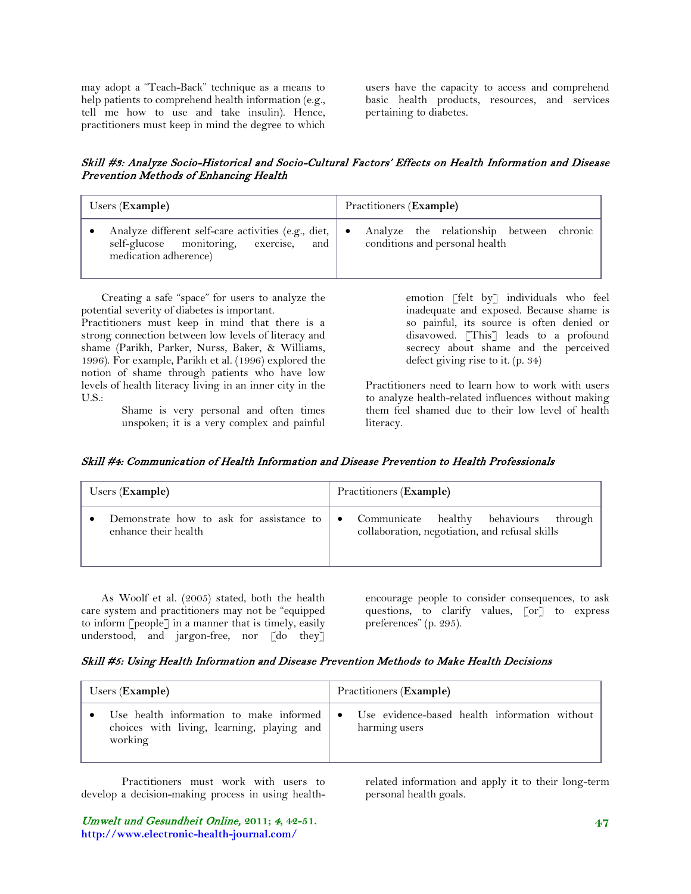may adopt a "Teach-Back" technique as a means to help patients to comprehend health information (e.g., tell me how to use and take insulin). Hence, practitioners must keep in mind the degree to which

users have the capacity to access and comprehend basic health products, resources, and services pertaining to diabetes.

# Skill #3: Analyze Socio-Historical and Socio-Cultural Factors' Effects on Health Information and Disease Prevention Methods of Enhancing Health

| Users ( <b>Example</b> )                                                                                                      | Practitioners (Example)                                                    |
|-------------------------------------------------------------------------------------------------------------------------------|----------------------------------------------------------------------------|
| Analyze different self-care activities (e.g., diet,  <br>self-glucose monitoring, exercise,<br>and  <br>medication adherence) | Analyze the relationship between chronic<br>conditions and personal health |

Creating a safe "space" for users to analyze the potential severity of diabetes is important.

Practitioners must keep in mind that there is a strong connection between low levels of literacy and shame (Parikh, Parker, Nurss, Baker, & Williams, 1996). For example, Parikh et al. (1996) explored the notion of shame through patients who have low levels of health literacy living in an inner city in the U.S.:

Shame is very personal and often times unspoken; it is a very complex and painful emotion [felt by] individuals who feel inadequate and exposed. Because shame is so painful, its source is often denied or disavowed. [This] leads to a profound secrecy about shame and the perceived defect giving rise to it. (p. 34)

Practitioners need to learn how to work with users to analyze health-related influences without making them feel shamed due to their low level of health literacy.

# Skill #4: Communication of Health Information and Disease Prevention to Health Professionals

| Users ( <b>Example</b> )                                         | Practitioners (Example)                                                                                     |
|------------------------------------------------------------------|-------------------------------------------------------------------------------------------------------------|
| Demonstrate how to ask for assistance to<br>enhance their health | Communicate healthy<br>behaviours<br>through<br>$\bullet$<br>collaboration, negotiation, and refusal skills |

As Woolf et al. (2005) stated, both the health care system and practitioners may not be "equipped to inform [people] in a manner that is timely, easily understood, and jargon-free, nor [do they]

encourage people to consider consequences, to ask questions, to clarify values, [or] to express preferences" (p. 295).

## Skill #5: Using Health Information and Disease Prevention Methods to Make Health Decisions

| Users ( <b>Example</b> )                                                                                   | Practitioners ( <b>Example</b> )                               |
|------------------------------------------------------------------------------------------------------------|----------------------------------------------------------------|
| Use health information to make informed $\bullet$<br>choices with living, learning, playing and<br>working | Use evidence-based health information without<br>harming users |

Practitioners must work with users to develop a decision-making process in using health-

related information and apply it to their long-term personal health goals.

Umwelt und Gesundheit Online, **2011;** 4**, 42-51. http://www.electronic-health-journal.com/**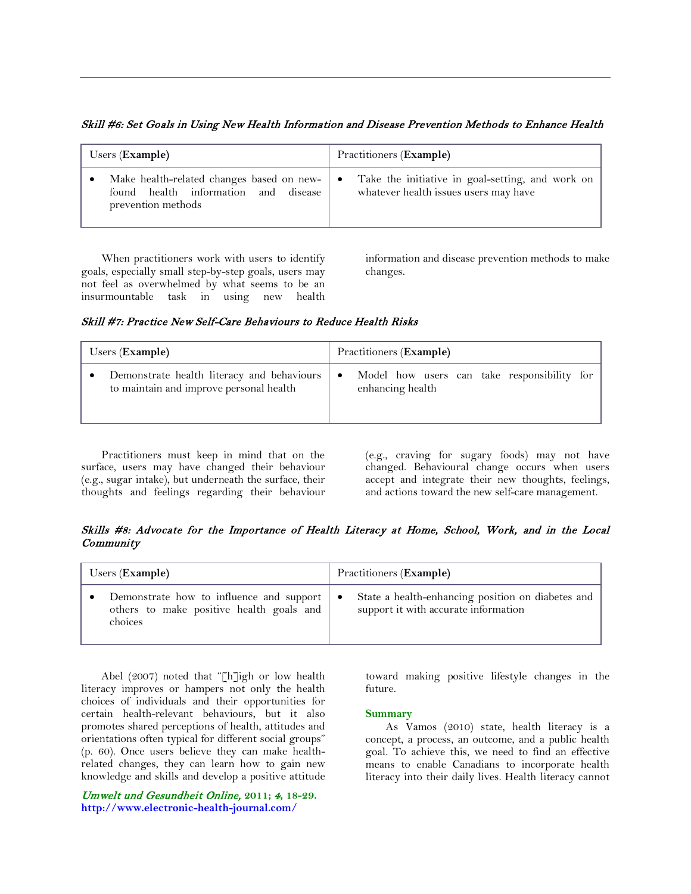Skill #6: Set Goals in Using New Health Information and Disease Prevention Methods to Enhance Health

| Users ( <b>Example</b> )                                                                                | Practitioners (Example)                                                                   |
|---------------------------------------------------------------------------------------------------------|-------------------------------------------------------------------------------------------|
| Make health-related changes based on new-<br>found health information and disease<br>prevention methods | Take the initiative in goal-setting, and work on<br>whatever health issues users may have |

When practitioners work with users to identify goals, especially small step-by-step goals, users may not feel as overwhelmed by what seems to be an insurmountable task in using new health information and disease prevention methods to make changes.

Skill #7: Practice New Self-Care Behaviours to Reduce Health Risks

| Users (Example)                                                                       | Practitioners ( <b>Example</b> )                                             |
|---------------------------------------------------------------------------------------|------------------------------------------------------------------------------|
| Demonstrate health literacy and behaviours<br>to maintain and improve personal health | Model how users can take responsibility for<br>$\bullet$<br>enhancing health |

Practitioners must keep in mind that on the surface, users may have changed their behaviour (e.g., sugar intake), but underneath the surface, their thoughts and feelings regarding their behaviour (e.g., craving for sugary foods) may not have changed. Behavioural change occurs when users accept and integrate their new thoughts, feelings, and actions toward the new self-care management.

Skills #8: Advocate for the Importance of Health Literacy at Home, School, Work, and in the Local **Community** 

| Users (Example)                          | Practitioners (Example)                           |
|------------------------------------------|---------------------------------------------------|
| Demonstrate how to influence and support | State a health-enhancing position on diabetes and |
| others to make positive health goals and | ٠                                                 |
| choices                                  | support it with accurate information              |

Abel (2007) noted that "[h]igh or low health literacy improves or hampers not only the health choices of individuals and their opportunities for certain health-relevant behaviours, but it also promotes shared perceptions of health, attitudes and orientations often typical for different social groups" (p. 60). Once users believe they can make healthrelated changes, they can learn how to gain new knowledge and skills and develop a positive attitude

Umwelt und Gesundheit Online, **2011;** 4**, 18-29. <http://www.electronic-health-journal.com/>**

toward making positive lifestyle changes in the future.

## **Summary**

As Vamos (2010) state, health literacy is a concept, a process, an outcome, and a public health goal. To achieve this, we need to find an effective means to enable Canadians to incorporate health literacy into their daily lives. Health literacy cannot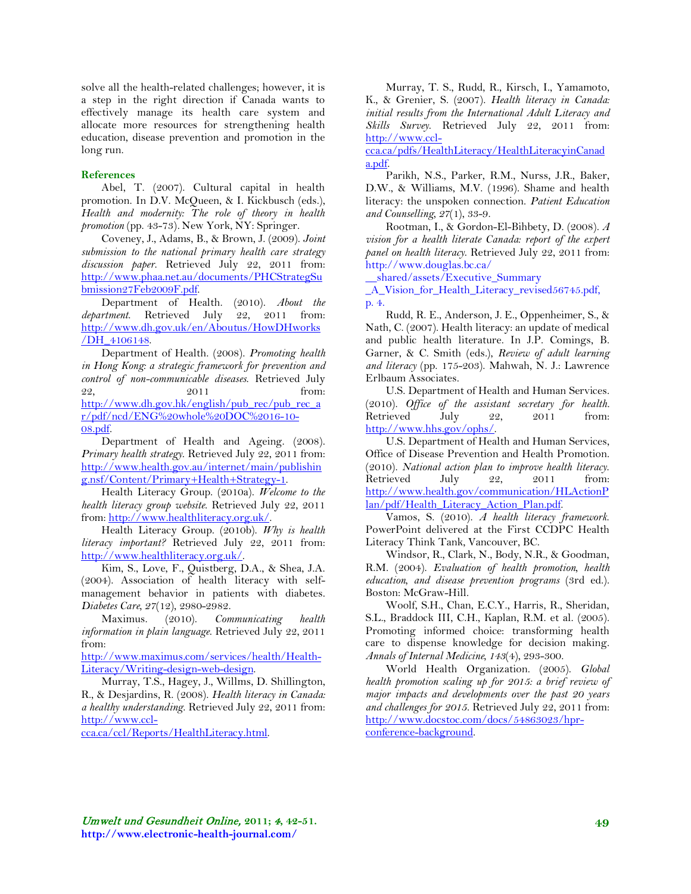solve all the health-related challenges; however, it is a step in the right direction if Canada wants to effectively manage its health care system and allocate more resources for strengthening health education, disease prevention and promotion in the long run.

#### **References**

Abel, T. (2007). Cultural capital in health promotion. In D.V. McQueen, & I. Kickbusch (eds.), *Health and modernity: The role of theory in health promotion* (pp. 43-73)*.* New York, NY: Springer.

Coveney, J., Adams, B., & Brown, J. (2009). *Joint submission to the national primary health care strategy discussion paper*. Retrieved July 22, 2011 from: [http://www.phaa.net.au/documents/PHCStrategSu](http://www.phaa.net.au/documents/PHCStrategSubmission27Feb2009F.pdf) [bmission27Feb2009F.pdf.](http://www.phaa.net.au/documents/PHCStrategSubmission27Feb2009F.pdf)

Department of Health. (2010). *About the department*. Retrieved July 22, 2011 from: [http://www.dh.gov.uk/en/Aboutus/HowDHworks](http://www.dh.gov.uk/en/Aboutus/HowDHworks/DH_4106148) [/DH\\_4106148.](http://www.dh.gov.uk/en/Aboutus/HowDHworks/DH_4106148)

Department of Health. (2008). *Promoting health in Hong Kong: a strategic framework for prevention and control of non-communicable diseases*. Retrieved July 22, 2011 from: [http://www.dh.gov.hk/english/pub\\_rec/pub\\_rec\\_a](http://www.dh.gov.hk/english/pub_rec/pub_rec_ar/pdf/ncd/ENG%20whole%20DOC%2016-10-08.pdf) [r/pdf/ncd/ENG%20whole%20DOC%2016-10-](http://www.dh.gov.hk/english/pub_rec/pub_rec_ar/pdf/ncd/ENG%20whole%20DOC%2016-10-08.pdf) [08.pdf.](http://www.dh.gov.hk/english/pub_rec/pub_rec_ar/pdf/ncd/ENG%20whole%20DOC%2016-10-08.pdf)

Department of Health and Ageing. (2008). *Primary health strategy*. Retrieved July 22, 2011 from: [http://www.health.gov.au/internet/main/publishin](http://www.health.gov.au/internet/main/publishing.nsf/Content/Primary+Health+Strategy-1) [g.nsf/Content/Primary+Health+Strategy-1.](http://www.health.gov.au/internet/main/publishing.nsf/Content/Primary+Health+Strategy-1)

Health Literacy Group. (2010a). *Welcome to the health literacy group website*. Retrieved July 22, 2011 from: [http://www.healthliteracy.org.uk/.](http://www.healthliteracy.org.uk/)

Health Literacy Group. (2010b). *Why is health literacy important?* Retrieved July 22, 2011 from: [http://www.healthliteracy.org.uk/.](http://www.healthliteracy.org.uk/)

Kim, S., Love, F., Quistberg, D.A., & Shea, J.A. (2004). Association of health literacy with selfmanagement behavior in patients with diabetes. *Diabetes Care, 27*(12), 2980-2982.

Maximus. (2010). *Communicating health information in plain language*. Retrieved July 22, 2011 from:

[http://www.maximus.com/services/health/Health-](http://www.maximus.com/services/health/Health-Literacy/Writing-design-web-design)[Literacy/Writing-design-web-design.](http://www.maximus.com/services/health/Health-Literacy/Writing-design-web-design)

Murray, T.S., Hagey, J., Willms, D. Shillington, R., & Desjardins, R. (2008). *Health literacy in Canada: a healthy understanding*. Retrieved July 22, 2011 from: [http://www.ccl-](http://www.ccl-cca.ca/ccl/Reports/HealthLiteracy.html)

[cca.ca/ccl/Reports/HealthLiteracy.html.](http://www.ccl-cca.ca/ccl/Reports/HealthLiteracy.html)

Murray, T. S., Rudd, R., Kirsch, I., Yamamoto, K., & Grenier, S. (2007). *Health literacy in Canada: initial results from the International Adult Literacy and Skills Survey*. Retrieved July 22, 2011 from: [http://www.ccl-](http://www.ccl-cca.ca/pdfs/HealthLiteracy/HealthLiteracyinCanada.pdf)

[cca.ca/pdfs/HealthLiteracy/HealthLiteracyinCanad](http://www.ccl-cca.ca/pdfs/HealthLiteracy/HealthLiteracyinCanada.pdf) [a.pdf.](http://www.ccl-cca.ca/pdfs/HealthLiteracy/HealthLiteracyinCanada.pdf)

Parikh, N.S., Parker, R.M., Nurss, J.R., Baker, D.W., & Williams, M.V. (1996). Shame and health literacy: the unspoken connection. *Patient Education and Counselling, 27*(1), 33-9.

Rootman, I., & Gordon-El-Bihbety, D. (2008). *A vision for a health literate Canada: report of the expert panel on health literacy*. Retrieved July 22, 2011 from: http://www.douglas.bc.ca/

\_\_shared/assets/Executive\_Summary

\_A\_Vision\_for\_Health\_Literacy\_revised56745.pdf, p. 4.

Rudd, R. E., Anderson, J. E., Oppenheimer, S., & Nath, C. (2007). Health literacy: an update of medical and public health literature. In J.P. Comings, B. Garner, & C. Smith (eds.), *Review of adult learning and literacy* (pp. 175-203). Mahwah, N. J.: Lawrence Erlbaum Associates.

U.S. Department of Health and Human Services. (2010). *Office of the assistant secretary for health.* Retrieved July 22, 2011 from: [http://www.hhs.gov/ophs/.](http://www.hhs.gov/ophs/)

U.S. Department of Health and Human Services, Office of Disease Prevention and Health Promotion. (2010). *National action plan to improve health literacy*. Retrieved July 22, 2011 from: [http://www.health.gov/communication/HLActionP](http://www.health.gov/communication/HLActionPlan/pdf/Health_Literacy_Action_Plan.pdf) [lan/pdf/Health\\_Literacy\\_Action\\_Plan.pdf.](http://www.health.gov/communication/HLActionPlan/pdf/Health_Literacy_Action_Plan.pdf)

Vamos, S. (2010). *A health literacy framework*. PowerPoint delivered at the First CCDPC Health Literacy Think Tank, Vancouver, BC.

Windsor, R., Clark, N., Body, N.R., & Goodman, R.M. (2004). *Evaluation of health promotion, health education, and disease prevention programs* (3rd ed.). Boston: McGraw-Hill.

Woolf, S.H., Chan, E.C.Y., Harris, R., Sheridan, S.L., Braddock III, C.H., Kaplan, R.M. et al. (2005). Promoting informed choice: transforming health care to dispense knowledge for decision making. *Annals of Internal Medicine, 143*(4), 293-300.

World Health Organization. (2005). *Global health promotion scaling up for 2015: a brief review of major impacts and developments over the past 20 years and challenges for 2015*. Retrieved July 22, 2011 from: [http://www.docstoc.com/docs/54863023/hpr](http://www.docstoc.com/docs/54863023/hpr-conference-background)[conference-background.](http://www.docstoc.com/docs/54863023/hpr-conference-background)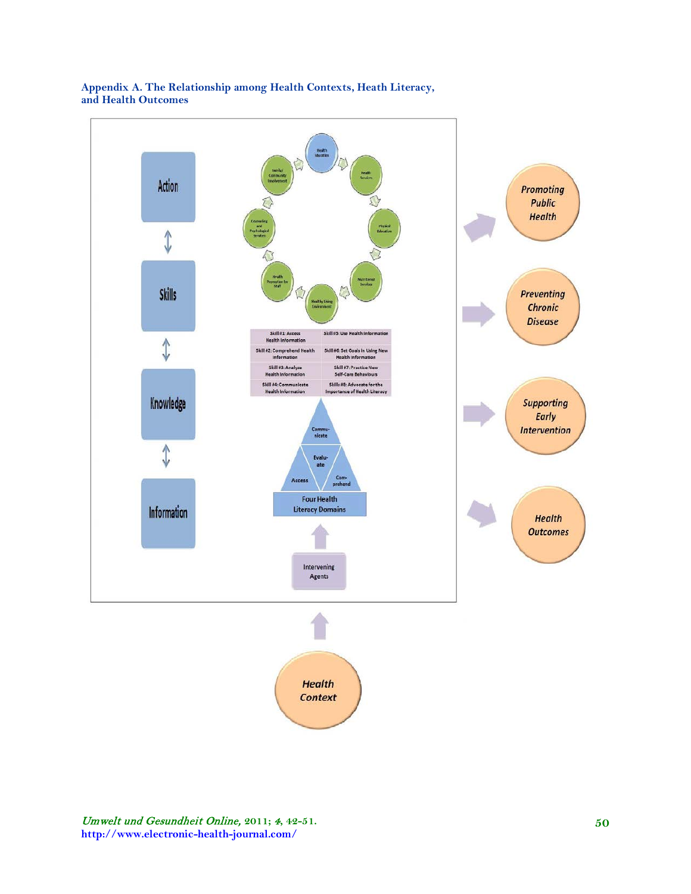

## **Appendix A. The Relationship among Health Contexts, Heath Literacy, and Health Outcomes**